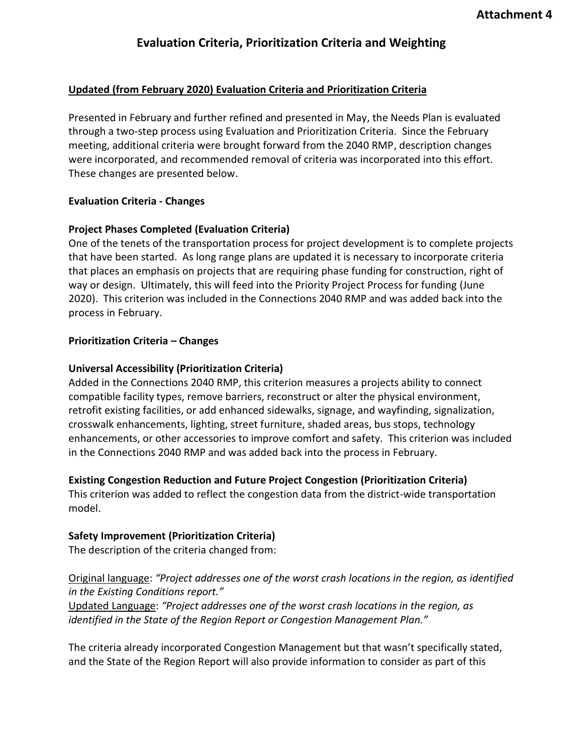## **Updated (from February 2020) Evaluation Criteria and Prioritization Criteria**

Presented in February and further refined and presented in May, the Needs Plan is evaluated through a two-step process using Evaluation and Prioritization Criteria. Since the February meeting, additional criteria were brought forward from the 2040 RMP, description changes were incorporated, and recommended removal of criteria was incorporated into this effort. These changes are presented below.

## **Evaluation Criteria - Changes**

## **Project Phases Completed (Evaluation Criteria)**

One of the tenets of the transportation process for project development is to complete projects that have been started. As long range plans are updated it is necessary to incorporate criteria that places an emphasis on projects that are requiring phase funding for construction, right of way or design. Ultimately, this will feed into the Priority Project Process for funding (June 2020). This criterion was included in the Connections 2040 RMP and was added back into the process in February.

## **Prioritization Criteria – Changes**

## **Universal Accessibility (Prioritization Criteria)**

Added in the Connections 2040 RMP, this criterion measures a projects ability to connect compatible facility types, remove barriers, reconstruct or alter the physical environment, retrofit existing facilities, or add enhanced sidewalks, signage, and wayfinding, signalization, crosswalk enhancements, lighting, street furniture, shaded areas, bus stops, technology enhancements, or other accessories to improve comfort and safety. This criterion was included in the Connections 2040 RMP and was added back into the process in February.

#### **Existing Congestion Reduction and Future Project Congestion (Prioritization Criteria)**

This criterion was added to reflect the congestion data from the district-wide transportation model.

# **Safety Improvement (Prioritization Criteria)**

The description of the criteria changed from:

# Original language: *"Project addresses one of the worst crash locations in the region, as identified in the Existing Conditions report."*

Updated Language: *"Project addresses one of the worst crash locations in the region, as identified in the State of the Region Report or Congestion Management Plan."* 

The criteria already incorporated Congestion Management but that wasn't specifically stated, and the State of the Region Report will also provide information to consider as part of this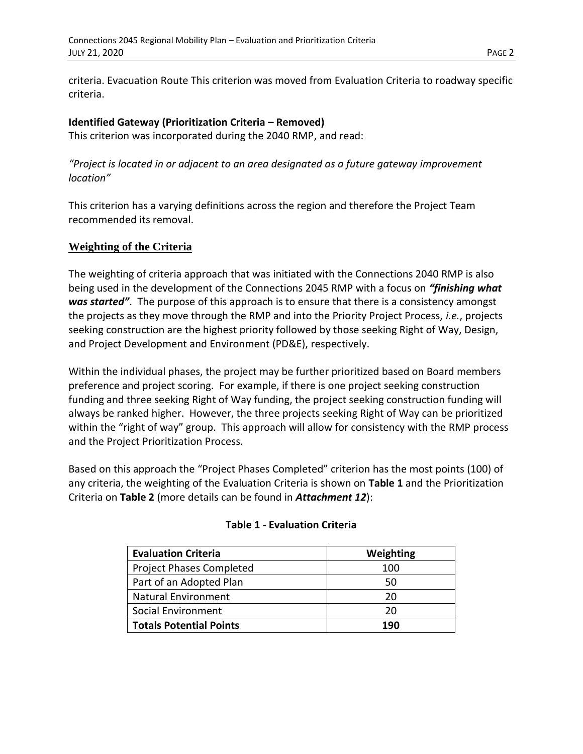criteria. Evacuation Route This criterion was moved from Evaluation Criteria to roadway specific criteria.

## **Identified Gateway (Prioritization Criteria – Removed)**

This criterion was incorporated during the 2040 RMP, and read:

*"Project is located in or adjacent to an area designated as a future gateway improvement location"*

This criterion has a varying definitions across the region and therefore the Project Team recommended its removal.

## **Weighting of the Criteria**

The weighting of criteria approach that was initiated with the Connections 2040 RMP is also being used in the development of the Connections 2045 RMP with a focus on *"finishing what was started"*. The purpose of this approach is to ensure that there is a consistency amongst the projects as they move through the RMP and into the Priority Project Process, *i.e.*, projects seeking construction are the highest priority followed by those seeking Right of Way, Design, and Project Development and Environment (PD&E), respectively.

Within the individual phases, the project may be further prioritized based on Board members preference and project scoring. For example, if there is one project seeking construction funding and three seeking Right of Way funding, the project seeking construction funding will always be ranked higher. However, the three projects seeking Right of Way can be prioritized within the "right of way" group. This approach will allow for consistency with the RMP process and the Project Prioritization Process.

Based on this approach the "Project Phases Completed" criterion has the most points (100) of any criteria, the weighting of the Evaluation Criteria is shown on **Table 1** and the Prioritization Criteria on **Table 2** (more details can be found in *Attachment 12*):

| <b>Evaluation Criteria</b>      | Weighting |
|---------------------------------|-----------|
| <b>Project Phases Completed</b> | 100       |
| Part of an Adopted Plan         | 50        |
| <b>Natural Environment</b>      | 20        |
| Social Environment              | 20        |
| <b>Totals Potential Points</b>  | 190       |

#### **Table 1 - Evaluation Criteria**